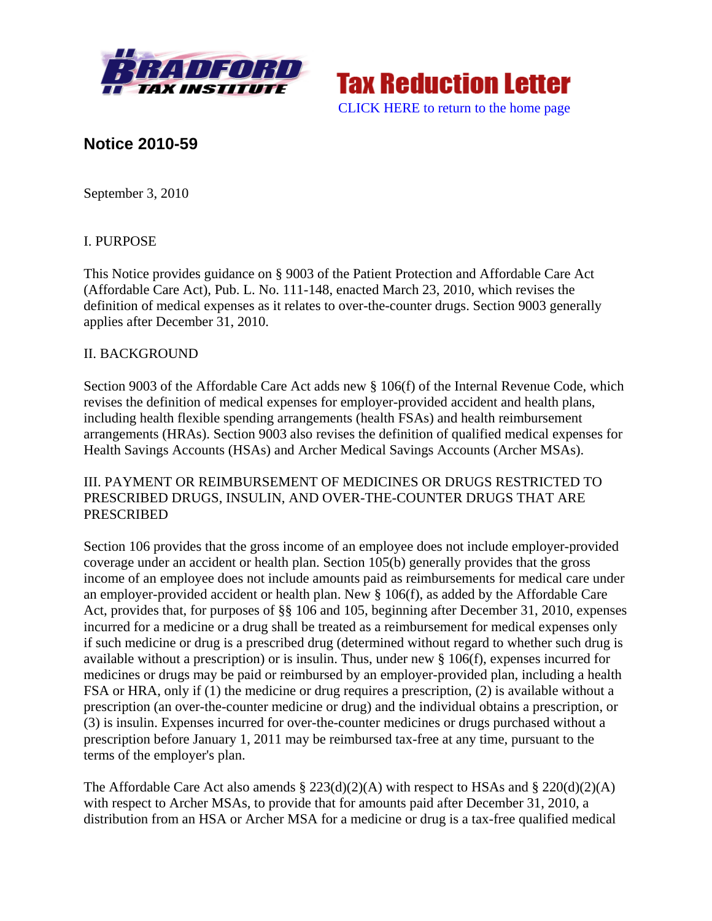



# **Notice 2010-59**

September 3, 2010

### I. PURPOSE

This Notice provides guidance on § 9003 of the Patient Protection and Affordable Care Act (Affordable Care Act), Pub. L. No. 111-148, enacted March 23, 2010, which revises the definition of medical expenses as it relates to over-the-counter drugs. Section 9003 generally applies after December 31, 2010.

#### II. BACKGROUND

Section 9003 of the Affordable Care Act adds new § 106(f) of the Internal Revenue Code, which revises the definition of medical expenses for employer-provided accident and health plans, including health flexible spending arrangements (health FSAs) and health reimbursement arrangements (HRAs). Section 9003 also revises the definition of qualified medical expenses for Health Savings Accounts (HSAs) and Archer Medical Savings Accounts (Archer MSAs).

### III. PAYMENT OR REIMBURSEMENT OF MEDICINES OR DRUGS RESTRICTED TO PRESCRIBED DRUGS, INSULIN, AND OVER-THE-COUNTER DRUGS THAT ARE PRESCRIBED

Section 106 provides that the gross income of an employee does not include employer-provided coverage under an accident or health plan. Section 105(b) generally provides that the gross income of an employee does not include amounts paid as reimbursements for medical care under an employer-provided accident or health plan. New § 106(f), as added by the Affordable Care Act, provides that, for purposes of §§ 106 and 105, beginning after December 31, 2010, expenses incurred for a medicine or a drug shall be treated as a reimbursement for medical expenses only if such medicine or drug is a prescribed drug (determined without regard to whether such drug is available without a prescription) or is insulin. Thus, under new § 106(f), expenses incurred for medicines or drugs may be paid or reimbursed by an employer-provided plan, including a health FSA or HRA, only if (1) the medicine or drug requires a prescription, (2) is available without a prescription (an over-the-counter medicine or drug) and the individual obtains a prescription, or (3) is insulin. Expenses incurred for over-the-counter medicines or drugs purchased without a prescription before January 1, 2011 may be reimbursed tax-free at any time, pursuant to the terms of the employer's plan.

The Affordable Care Act also amends  $\S 223(d)(2)(A)$  with respect to HSAs and  $\S 220(d)(2)(A)$ with respect to Archer MSAs, to provide that for amounts paid after December 31, 2010, a distribution from an HSA or Archer MSA for a medicine or drug is a tax-free qualified medical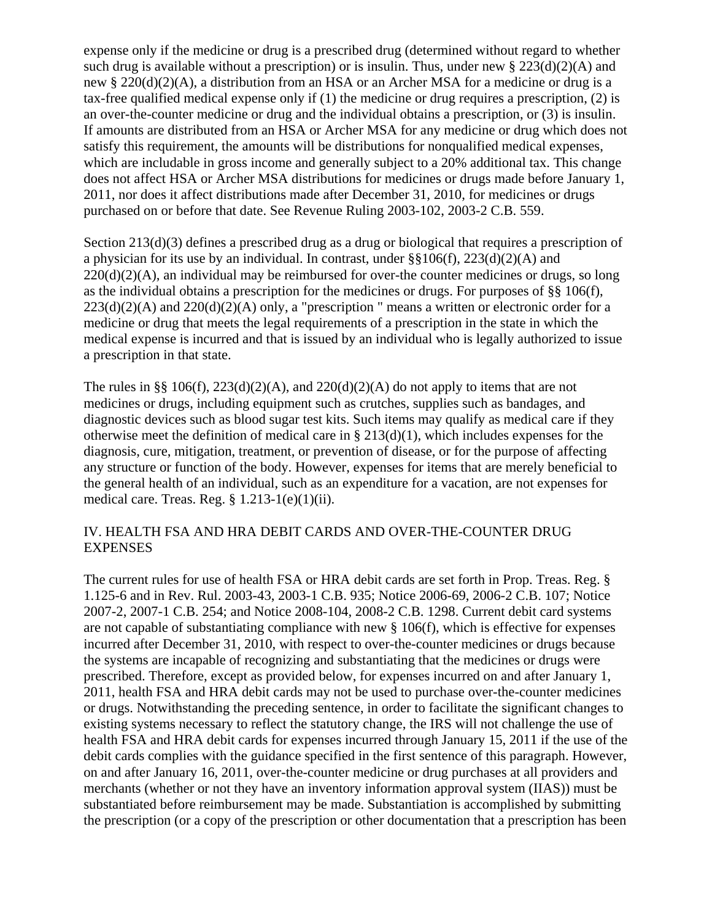expense only if the medicine or drug is a prescribed drug (determined without regard to whether such drug is available without a prescription) or is insulin. Thus, under new  $\S 223(d)(2)(A)$  and new § 220(d)(2)(A), a distribution from an HSA or an Archer MSA for a medicine or drug is a tax-free qualified medical expense only if (1) the medicine or drug requires a prescription, (2) is an over-the-counter medicine or drug and the individual obtains a prescription, or (3) is insulin. If amounts are distributed from an HSA or Archer MSA for any medicine or drug which does not satisfy this requirement, the amounts will be distributions for nonqualified medical expenses, which are includable in gross income and generally subject to a 20% additional tax. This change does not affect HSA or Archer MSA distributions for medicines or drugs made before January 1, 2011, nor does it affect distributions made after December 31, 2010, for medicines or drugs purchased on or before that date. See Revenue Ruling 2003-102, 2003-2 C.B. 559.

Section 213(d)(3) defines a prescribed drug as a drug or biological that requires a prescription of a physician for its use by an individual. In contrast, under  $\S$ §106(f), 223(d)(2)(A) and  $220(d)(2)(A)$ , an individual may be reimbursed for over-the counter medicines or drugs, so long as the individual obtains a prescription for the medicines or drugs. For purposes of §§ 106(f),  $223(d)(2)(A)$  and  $220(d)(2)(A)$  only, a "prescription " means a written or electronic order for a medicine or drug that meets the legal requirements of a prescription in the state in which the medical expense is incurred and that is issued by an individual who is legally authorized to issue a prescription in that state.

The rules in §§ 106(f),  $223(d)(2)(A)$ , and  $220(d)(2)(A)$  do not apply to items that are not medicines or drugs, including equipment such as crutches, supplies such as bandages, and diagnostic devices such as blood sugar test kits. Such items may qualify as medical care if they otherwise meet the definition of medical care in  $\S 213(d)(1)$ , which includes expenses for the diagnosis, cure, mitigation, treatment, or prevention of disease, or for the purpose of affecting any structure or function of the body. However, expenses for items that are merely beneficial to the general health of an individual, such as an expenditure for a vacation, are not expenses for medical care. Treas. Reg. § 1.213-1(e)(1)(ii).

#### IV. HEALTH FSA AND HRA DEBIT CARDS AND OVER-THE-COUNTER DRUG **EXPENSES**

The current rules for use of health FSA or HRA debit cards are set forth in Prop. Treas. Reg. § 1.125-6 and in Rev. Rul. 2003-43, 2003-1 C.B. 935; Notice 2006-69, 2006-2 C.B. 107; Notice 2007-2, 2007-1 C.B. 254; and Notice 2008-104, 2008-2 C.B. 1298. Current debit card systems are not capable of substantiating compliance with new § 106(f), which is effective for expenses incurred after December 31, 2010, with respect to over-the-counter medicines or drugs because the systems are incapable of recognizing and substantiating that the medicines or drugs were prescribed. Therefore, except as provided below, for expenses incurred on and after January 1, 2011, health FSA and HRA debit cards may not be used to purchase over-the-counter medicines or drugs. Notwithstanding the preceding sentence, in order to facilitate the significant changes to existing systems necessary to reflect the statutory change, the IRS will not challenge the use of health FSA and HRA debit cards for expenses incurred through January 15, 2011 if the use of the debit cards complies with the guidance specified in the first sentence of this paragraph. However, on and after January 16, 2011, over-the-counter medicine or drug purchases at all providers and merchants (whether or not they have an inventory information approval system (IIAS)) must be substantiated before reimbursement may be made. Substantiation is accomplished by submitting the prescription (or a copy of the prescription or other documentation that a prescription has been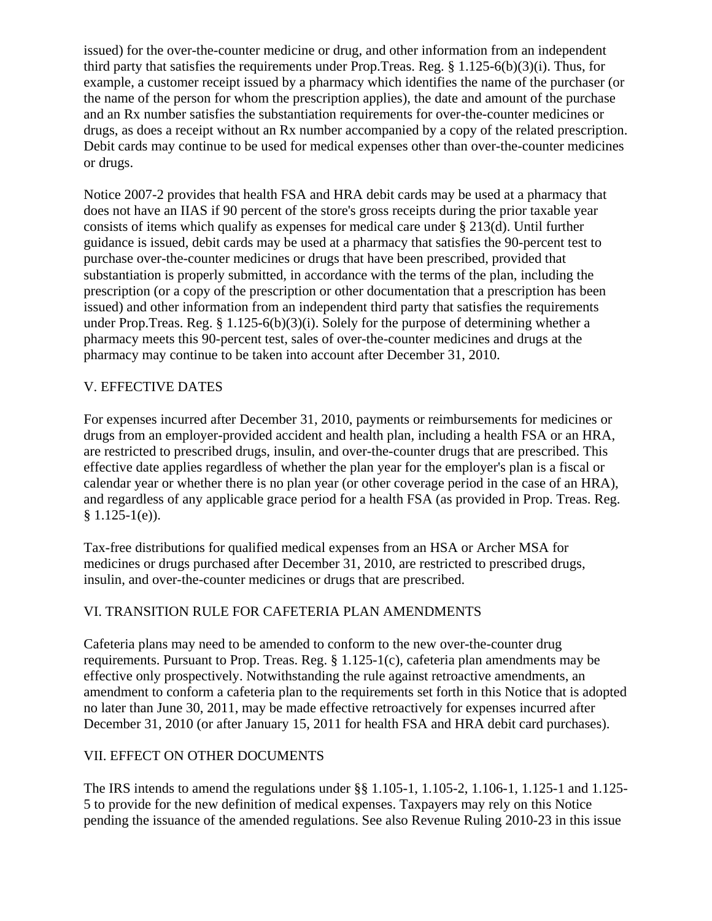issued) for the over-the-counter medicine or drug, and other information from an independent third party that satisfies the requirements under Prop.Treas. Reg. § 1.125-6(b)(3)(i). Thus, for example, a customer receipt issued by a pharmacy which identifies the name of the purchaser (or the name of the person for whom the prescription applies), the date and amount of the purchase and an Rx number satisfies the substantiation requirements for over-the-counter medicines or drugs, as does a receipt without an Rx number accompanied by a copy of the related prescription. Debit cards may continue to be used for medical expenses other than over-the-counter medicines or drugs.

Notice 2007-2 provides that health FSA and HRA debit cards may be used at a pharmacy that does not have an IIAS if 90 percent of the store's gross receipts during the prior taxable year consists of items which qualify as expenses for medical care under § 213(d). Until further guidance is issued, debit cards may be used at a pharmacy that satisfies the 90-percent test to purchase over-the-counter medicines or drugs that have been prescribed, provided that substantiation is properly submitted, in accordance with the terms of the plan, including the prescription (or a copy of the prescription or other documentation that a prescription has been issued) and other information from an independent third party that satisfies the requirements under Prop.Treas. Reg. § 1.125-6(b)(3)(i). Solely for the purpose of determining whether a pharmacy meets this 90-percent test, sales of over-the-counter medicines and drugs at the pharmacy may continue to be taken into account after December 31, 2010.

# V. EFFECTIVE DATES

For expenses incurred after December 31, 2010, payments or reimbursements for medicines or drugs from an employer-provided accident and health plan, including a health FSA or an HRA, are restricted to prescribed drugs, insulin, and over-the-counter drugs that are prescribed. This effective date applies regardless of whether the plan year for the employer's plan is a fiscal or calendar year or whether there is no plan year (or other coverage period in the case of an HRA), and regardless of any applicable grace period for a health FSA (as provided in Prop. Treas. Reg.  $§ 1.125-1(e)$ .

Tax-free distributions for qualified medical expenses from an HSA or Archer MSA for medicines or drugs purchased after December 31, 2010, are restricted to prescribed drugs, insulin, and over-the-counter medicines or drugs that are prescribed.

### VI. TRANSITION RULE FOR CAFETERIA PLAN AMENDMENTS

Cafeteria plans may need to be amended to conform to the new over-the-counter drug requirements. Pursuant to Prop. Treas. Reg. § 1.125-1(c), cafeteria plan amendments may be effective only prospectively. Notwithstanding the rule against retroactive amendments, an amendment to conform a cafeteria plan to the requirements set forth in this Notice that is adopted no later than June 30, 2011, may be made effective retroactively for expenses incurred after December 31, 2010 (or after January 15, 2011 for health FSA and HRA debit card purchases).

### VII. EFFECT ON OTHER DOCUMENTS

The IRS intends to amend the regulations under §§ 1.105-1, 1.105-2, 1.106-1, 1.125-1 and 1.125- 5 to provide for the new definition of medical expenses. Taxpayers may rely on this Notice pending the issuance of the amended regulations. See also Revenue Ruling 2010-23 in this issue